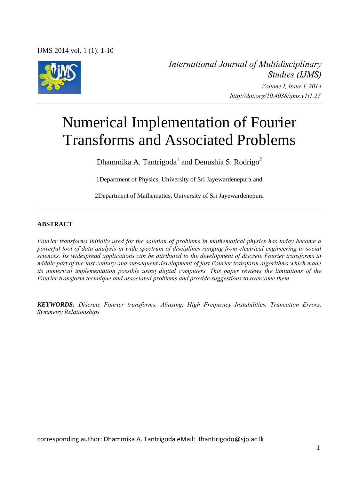IJMS 2014 vol. 1 (1): 1-10



*International Journal of Multidisciplinary Studies (IJMS) Volume I, Issue I, 2014 http://doi.org/10.4038/ijms.v1i1.27* 

# Numerical Implementation of Fourier Transforms and Associated Problems

Dhammika A. Tantrigoda<sup>1</sup> and Denushia S. Rodrigo<sup>2</sup>

1Department of Physics, University of Sri Jayewardenepura and

2Department of Mathematics, University of Sri Jayewardenepura

## **ABSTRACT**

*Fourier transforms initially used for the solution of problems in mathematical physics has today become a powerful tool of data analysis in wide spectrum of disciplines ranging from electrical engineering to social sciences. Its widespread applications can be attributed to the development of discrete Fourier transforms in middle part of the last century and subsequent development of fast Fourier transform algorithms which made its numerical implementation possible using digital computers. This paper reviews the limitations of the Fourier transform technique and associated problems and provide suggestions to overcome them.* 

*KEYWORDS: Discrete Fourier transforms, Aliasing, High Frequency Instabilities, Truncation Errors, Symmetry Relationships*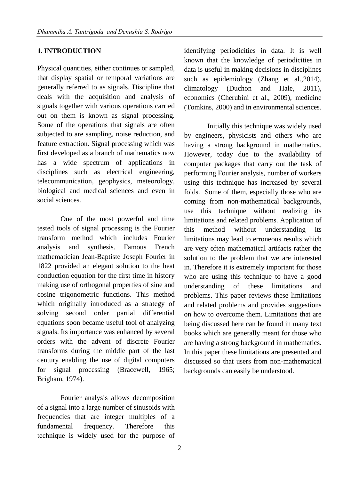# **1. INTRODUCTION**

Physical quantities, either continues or sampled, that display spatial or temporal variations are generally referred to as signals. Discipline that deals with the acquisition and analysis of signals together with various operations carried out on them is known as signal processing. Some of the operations that signals are often subjected to are sampling, noise reduction, and feature extraction. Signal processing which was first developed as a branch of mathematics now has a wide spectrum of applications in disciplines such as electrical engineering, telecommunication, geophysics, meteorology, biological and medical sciences and even in social sciences.

One of the most powerful and time tested tools of signal processing is the Fourier transform method which includes Fourier analysis and synthesis. Famous French mathematician Jean-Baptiste Joseph Fourier in 1822 provided an elegant solution to the heat conduction equation for the first time in history making use of orthogonal properties of sine and cosine trigonometric functions. This method which originally introduced as a strategy of solving second order partial differential equations soon became useful tool of analyzing signals. Its importance was enhanced by several orders with the advent of discrete Fourier transforms during the middle part of the last century enabling the use of digital computers for signal processing (Bracewell, 1965; Brigham, 1974).

Fourier analysis allows decomposition of a signal into a large number of sinusoids with frequencies that are integer multiples of a fundamental frequency. Therefore this technique is widely used for the purpose of

identifying periodicities in data. It is well known that the knowledge of periodicities in data is useful in making decisions in disciplines such as epidemiology (Zhang et al.,2014), climatology (Duchon and Hale, 2011), economics (Cherubini et al., 2009), medicine (Tomkins, 2000) and in environmental sciences.

Initially this technique was widely used by engineers, physicists and others who are having a strong background in mathematics. However, today due to the availability of computer packages that carry out the task of performing Fourier analysis, number of workers using this technique has increased by several folds. Some of them, especially those who are coming from non-mathematical backgrounds, use this technique without realizing its limitations and related problems. Application of this method without understanding its limitations may lead to erroneous results which are very often mathematical artifacts rather the solution to the problem that we are interested in. Therefore it is extremely important for those who are using this technique to have a good understanding of these limitations and problems. This paper reviews these limitations and related problems and provides suggestions on how to overcome them. Limitations that are being discussed here can be found in many text books which are generally meant for those who are having a strong background in mathematics. In this paper these limitations are presented and discussed so that users from non-mathematical backgrounds can easily be understood.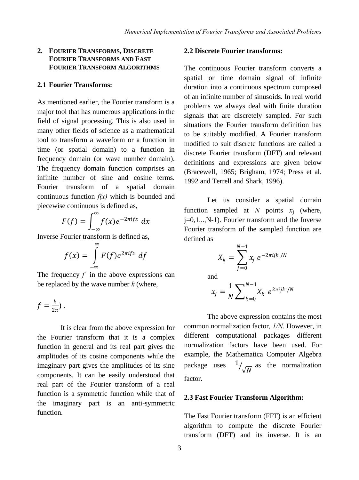### **2. FOURIER TRANSFORMS, DISCRETE FOURIER TRANSFORMS AND FAST FOURIER TRANSFORM ALGORITHMS**

## **2.1 Fourier Transforms:**

As mentioned earlier, the Fourier transform is a major tool that has numerous applications in the field of signal processing. This is also used in many other fields of science as a mathematical tool to transform a waveform or a function in time (or spatial domain) to a function in frequency domain (or wave number domain). The frequency domain function comprises an infinite number of sine and cosine terms. Fourier transform of a spatial domain continuous function *f(x)* which is bounded and piecewise continuous is defined as,

$$
F(f) = \int_{-\infty}^{\infty} f(x)e^{-2\pi i f x} dx
$$

Inverse Fourier transform is defined as,

$$
f(x) = \int_{-\infty}^{\infty} F(f) e^{2\pi i f x} df
$$

The frequency *f* in the above expressions can be replaced by the wave number *k* (where,

$$
f=\frac{k}{2\pi})\,.
$$

It is clear from the above expression for the Fourier transform that it is a complex function in general and its real part gives the amplitudes of its cosine components while the imaginary part gives the amplitudes of its sine components. It can be easily understood that real part of the Fourier transform of a real function is a symmetric function while that of the imaginary part is an anti-symmetric function.

## **2.2 Discrete Fourier transforms:**

The continuous Fourier transform converts a spatial or time domain signal of infinite duration into a continuous spectrum composed of an infinite number of sinusoids. In real world problems we always deal with finite duration signals that are discretely sampled. For such situations the Fourier transform definition has to be suitably modified. A Fourier transform modified to suit discrete functions are called a discrete Fourier transform (DFT) and relevant definitions and expressions are given below (Bracewell, 1965; Brigham, 1974; Press et al. 1992 and Terrell and Shark, 1996).

Let us consider a spatial domain function sampled at *N* points  $x_j$  (where, j=0,1,..,N-1). Fourier transform and the Inverse Fourier transform of the sampled function are defined as

$$
X_k = \sum_{j=0}^{N-1} x_j e^{-2\pi i j k / N}
$$

and

$$
x_j = \frac{1}{N} \sum\nolimits_{k=0}^{N-1} X_k \ e^{2\pi i j k / N}
$$

The above expression contains the most common normalization factor, *1/N*. However, in different computational packages different normalization factors have been used. For example, the Mathematica Computer Algebra package uses 1  $\sqrt{\sqrt{N}}$  as the normalization factor.

#### **2.3 Fast Fourier Transform Algorithm:**

The Fast Fourier transform (FFT) is an efficient algorithm to compute the discrete Fourier transform (DFT) and its inverse. It is an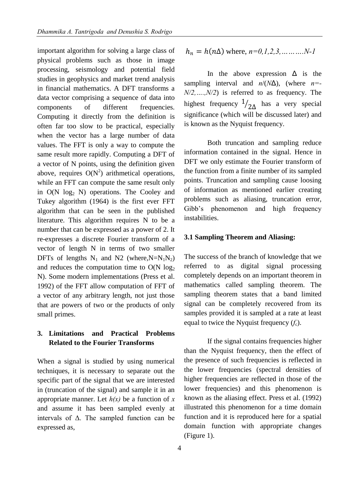important algorithm for solving a large class of physical problems such as those in image processing, seismology and potential field studies in geophysics and market trend analysis in financial mathematics. A DFT transforms a data vector comprising a sequence of data into components of different frequencies. Computing it directly from the definition is often far too slow to be practical, especially when the vector has a large number of data values. The FFT is only a way to compute the same result more rapidly. Computing a DFT of a vector of N points, using the definition given above, requires  $O(N^2)$  arithmetical operations, while an FFT can compute the same result only in  $O(N \log_2 N)$  operations. The Cooley and Tukey algorithm (1964) is the first ever FFT algorithm that can be seen in the published literature. This algorithm requires N to be a number that can be expressed as a power of 2. It re-expresses a discrete Fourier transform of a vector of length N in terms of two smaller DFTs of lengths  $N_1$  and N2 (where,  $N=N_1N_2$ ) and reduces the computation time to  $O(N \log_2$ N). Some modern implementations (Press et al. 1992) of the FFT allow computation of FFT of a vector of any arbitrary length, not just those that are powers of two or the products of only small primes.

# **3. Limitations and Practical Problems Related to the Fourier Transforms**

When a signal is studied by using numerical techniques, it is necessary to separate out the specific part of the signal that we are interested in (truncation of the signal) and sample it in an appropriate manner. Let  $h(x)$  be a function of  $x$ and assume it has been sampled evenly at intervals of  $\Delta$ . The sampled function can be expressed as,

$$
h_n = h(n\Delta)
$$
 where,  $n=0,1,2,3,...$ ... $N-1$ 

In the above expression  $\Delta$  is the sampling interval and *n*/(*N*Δ), (where *n=- N/2,….,N/2*) is referred to as frequency. The highest frequency 1  $\sqrt{2\Delta}$  has a very special significance (which will be discussed later) and is known as the Nyquist frequency.

Both truncation and sampling reduce information contained in the signal. Hence in DFT we only estimate the Fourier transform of the function from a finite number of its sampled points. Truncation and sampling cause loosing of information as mentioned earlier creating problems such as aliasing, truncation error, Gibb's phenomenon and high frequency instabilities.

#### **3.1 Sampling Theorem and Aliasing:**

The success of the branch of knowledge that we referred to as digital signal processing completely depends on an important theorem in mathematics called sampling theorem. The sampling theorem states that a band limited signal can be completely recovered from its samples provided it is sampled at a rate at least equal to twice the Nyquist frequency  $(f_c)$ .

If the signal contains frequencies higher than the Nyquist frequency, then the effect of the presence of such frequencies is reflected in the lower frequencies (spectral densities of higher frequencies are reflected in those of the lower frequencies) and this phenomenon is known as the aliasing effect. Press et al. (1992) illustrated this phenomenon for a time domain function and it is reproduced here for a spatial domain function with appropriate changes (Figure 1).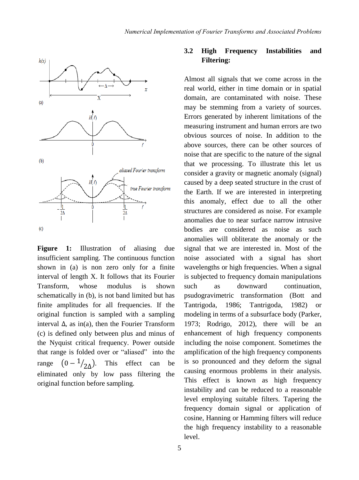

Figure 1: Illustration of aliasing due insufficient sampling. The continuous function shown in (a) is non zero only for a finite interval of length X. It follows that its Fourier Transform, whose modulus is shown schematically in (b), is not band limited but has finite amplitudes for all frequencies. If the original function is sampled with a sampling interval  $\Delta$ , as in(a), then the Fourier Transform (c) is defined only between plus and minus of the Nyquist critical frequency. Power outside that range is folded over or "aliased" into the range  $(0 - \frac{1}{2\Delta})$ . This effect can be eliminated only by low pass filtering the original function before sampling.

# **3.2 High Frequency Instabilities and Filtering:**

Almost all signals that we come across in the real world, either in time domain or in spatial domain, are contaminated with noise. These may be stemming from a variety of sources. Errors generated by inherent limitations of the measuring instrument and human errors are two obvious sources of noise. In addition to the above sources, there can be other sources of noise that are specific to the nature of the signal that we processing. To illustrate this let us consider a gravity or magnetic anomaly (signal) caused by a deep seated structure in the crust of the Earth. If we are interested in interpreting this anomaly, effect due to all the other structures are considered as noise. For example anomalies due to near surface narrow intrusive bodies are considered as noise as such anomalies will obliterate the anomaly or the signal that we are interested in. Most of the noise associated with a signal has short wavelengths or high frequencies. When a signal is subjected to frequency domain manipulations such as downward continuation, psudogravimetric transformation (Bott and Tantrigoda, 1986; Tantrigoda, 1982) or modeling in terms of a subsurface body (Parker, 1973; Rodrigo, 2012), there will be an enhancement of high frequency components including the noise component. Sometimes the amplification of the high frequency components is so pronounced and they deform the signal causing enormous problems in their analysis. This effect is known as high frequency instability and can be reduced to a reasonable level employing suitable filters. Tapering the frequency domain signal or application of cosine, Hanning or Hamming filters will reduce the high frequency instability to a reasonable level.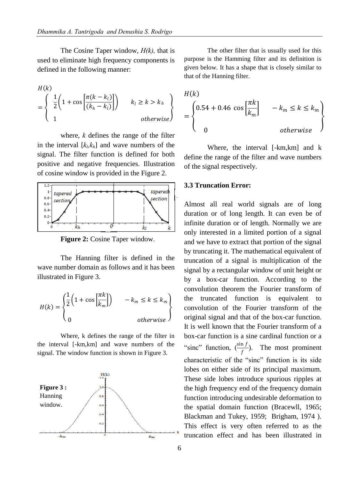The Cosine Taper window, *H(k),* that is used to eliminate high frequency components is defined in the following manner:

$$
H(k)
$$
\n
$$
= \left\{ \begin{array}{l} \frac{1}{2} \left( 1 + \cos \left[ \frac{\pi (k - k_l)}{(k_h - k_l)} \right] \right) & k_l \ge k > k_h \\ 1 & \text{otherwise} \end{array} \right\}
$$

where, *k* defines the range of the filter in the interval  $[k_l, k_h]$  and wave numbers of the signal. The filter function is defined for both positive and negative frequencies. Illustration of cosine window is provided in the Figure 2.



**Figure 2:** Cosine Taper window.

The Hanning filter is defined in the wave number domain as follows and it has been illustrated in Figure 3.

$$
H(k) = \begin{cases} \frac{1}{2} \left( 1 + \cos\left[\frac{\pi k}{k_m}\right] \right) & -k_m \le k \le k_m \\ 0 & \text{otherwise} \end{cases}
$$

Where, k defines the range of the filter in the interval [-km,km] and wave numbers of the signal. The window function is shown in Figure 3.



The other filter that is usually used for this purpose is the Hamming filter and its definition is given below. It has a shape that is closely similar to that of the Hanning filter.

$$
H(k)
$$
\n
$$
= \begin{cases}\n0.54 + 0.46 \cos\left[\frac{\pi k}{k_m}\right] & -k_m \le k \le k_m \\
0 & \text{otherwise}\n\end{cases}
$$

Where, the interval [-km,km] and k define the range of the filter and wave numbers of the signal respectively.

## **3.3 Truncation Error:**

Almost all real world signals are of long duration or of long length. It can even be of infinite duration or of length. Normally we are only interested in a limited portion of a signal and we have to extract that portion of the signal by truncating it. The mathematical equivalent of truncation of a signal is multiplication of the signal by a rectangular window of unit height or by a box-car function. According to the convolution theorem the Fourier transform of the truncated function is equivalent to convolution of the Fourier transform of the original signal and that of the box-car function. It is well known that the Fourier transform of a box-car function is a sine cardinal function or a "sinc" function,  $\left(\frac{\sin f}{f}\right)$ . The most prominent characteristic of the "sinc" function is its side lobes on either side of its principal maximum. These side lobes introduce spurious ripples at the high frequency end of the frequency domain function introducing undesirable deformation to the spatial domain function (Bracewll, 1965; Blackman and Tukey, 1959; Brigham, 1974 ). This effect is very often referred to as the truncation effect and has been illustrated in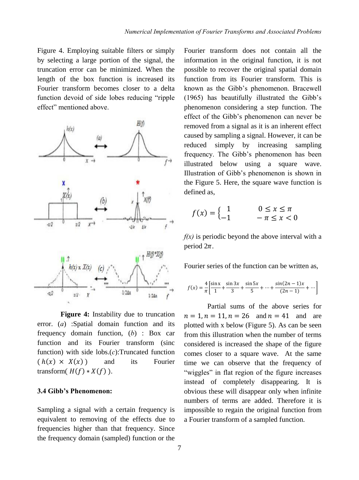Figure 4. Employing suitable filters or simply by selecting a large portion of the signal, the truncation error can be minimized. When the length of the box function is increased its Fourier transform becomes closer to a delta function devoid of side lobes reducing "ripple effect" mentioned above.



**Figure 4:** Instability due to truncation error. (*a*) :Spatial domain function and its frequency domain function, (*b*) : Box car function and its Fourier transform (sinc function) with side lobs.(*c*):Truncated function  $(h(x) \times X(x))$  and its Fourier transform( $H(f) * X(f)$ ).

## **3.4 Gibb's Phenomenon:**

Sampling a signal with a certain frequency is equivalent to removing of the effects due to frequencies higher than that frequency. Since the frequency domain (sampled) function or the

Fourier transform does not contain all the information in the original function, it is not possible to recover the original spatial domain function from its Fourier transform. This is known as the Gibb's phenomenon. Bracewell (1965) has beautifully illustrated the Gibb's phenomenon considering a step function. The effect of the Gibb's phenomenon can never be removed from a signal as it is an inherent effect caused by sampling a signal. However, it can be reduced simply by increasing sampling frequency. The Gibb's phenomenon has been illustrated below using a square wave. Illustration of Gibb's phenomenon is shown in the Figure 5. Here, the square wave function is defined as,

$$
f(x) = \begin{cases} 1 & 0 \le x \le \pi \\ -1 & -\pi \le x < 0 \end{cases}
$$

*f(x)* is periodic beyond the above interval with a period  $2\pi$ .

Fourier series of the function can be written as,

$$
f(x) = \frac{4}{\pi} \left[ \frac{\sin x}{1} + \frac{\sin 3x}{3} + \frac{\sin 5x}{5} + \dots + \frac{\sin (2n-1)x}{(2n-1)} + \dots \right]
$$

Partial sums of the above series for  $n = 1, n = 11, n = 26$  and  $n = 41$  and are plotted with x below (Figure 5). As can be seen from this illustration when the number of terms considered is increased the shape of the figure comes closer to a square wave. At the same time we can observe that the frequency of "wiggles" in flat region of the figure increases instead of completely disappearing. It is obvious these will disappear only when infinite numbers of terms are added. Therefore it is impossible to regain the original function from a Fourier transform of a sampled function.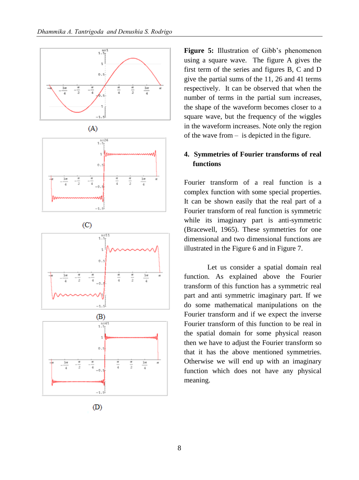





 $(D)$ 

**Figure 5:** Illustration of Gibb's phenomenon using a square wave. The figure A gives the first term of the series and figures B, C and D give the partial sums of the 11, 26 and 41 terms respectively. It can be observed that when the number of terms in the partial sum increases, the shape of the waveform becomes closer to a square wave, but the frequency of the wiggles in the waveform increases. Note only the region of the wave from – is depicted in the figure.

# **4. Symmetries of Fourier transforms of real functions**

Fourier transform of a real function is a complex function with some special properties. It can be shown easily that the real part of a Fourier transform of real function is symmetric while its imaginary part is anti-symmetric (Bracewell, 1965). These symmetries for one dimensional and two dimensional functions are illustrated in the Figure 6 and in Figure 7.

Let us consider a spatial domain real function. As explained above the Fourier transform of this function has a symmetric real part and anti symmetric imaginary part. If we do some mathematical manipulations on the Fourier transform and if we expect the inverse Fourier transform of this function to be real in the spatial domain for some physical reason then we have to adjust the Fourier transform so that it has the above mentioned symmetries. Otherwise we will end up with an imaginary function which does not have any physical meaning.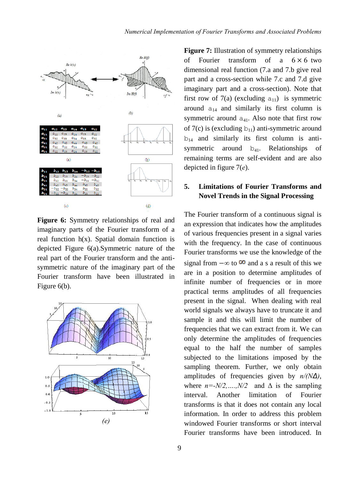

**Figure 6:** Symmetry relationships of real and imaginary parts of the Fourier transform of a real function  $h(x)$ . Spatial domain function is depicted Figure 6(a).Symmetric nature of the real part of the Fourier transform and the antisymmetric nature of the imaginary part of the Fourier transform have been illustrated in Figure 6(b).



**Figure 7:** Illustration of symmetry relationships of Fourier transform of a  $6 \times 6$  two dimensional real function (7.a and 7.b give real part and a cross-section while 7.c and 7.d give imaginary part and a cross-section). Note that first row of 7(a) (excluding  $a_{11}$ ) is symmetric around  $a_{14}$  and similarly its first column is symmetric around  $a_{41}$ . Also note that first row of 7(c) is (excluding  $b_{11}$ ) anti-symmetric around  $b_{14}$  and similarly its first column is antisymmetric around  $b_{41}$ . Relationships of remaining terms are self-evident and are also depicted in figure 7(*e*).

# **5. Limitations of Fourier Transforms and Novel Trends in the Signal Processing**

The Fourier transform of a continuous signal is an expression that indicates how the amplitudes of various frequencies present in a signal varies with the frequency. In the case of continuous Fourier transforms we use the knowledge of the signal from  $-\infty$  to  $\infty$  and a s a result of this we are in a position to determine amplitudes of infinite number of frequencies or in more practical terms amplitudes of all frequencies present in the signal. When dealing with real world signals we always have to truncate it and sample it and this will limit the number of frequencies that we can extract from it. We can only determine the amplitudes of frequencies equal to the half the number of samples subjected to the limitations imposed by the sampling theorem. Further, we only obtain amplitudes of frequencies given by *n/(NΔ)*, where  $n = N/2, \ldots, N/2$  and  $\Delta$  is the sampling interval. Another limitation of Fourier transforms is that it does not contain any local information. In order to address this problem windowed Fourier transforms or short interval Fourier transforms have been introduced. In